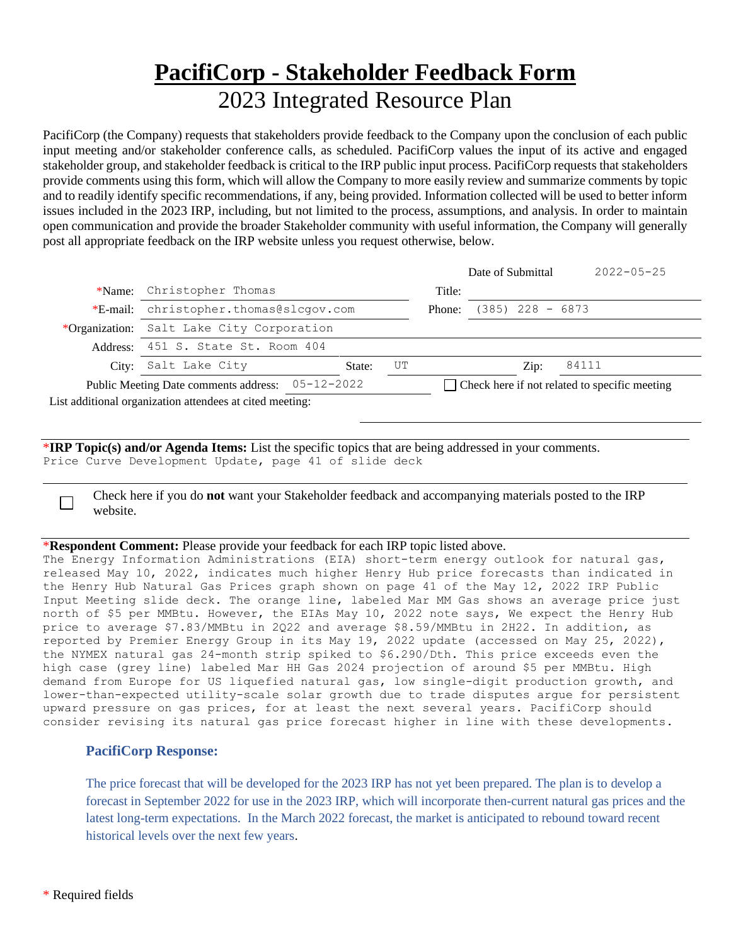## **PacifiCorp - Stakeholder Feedback Form** 2023 Integrated Resource Plan

PacifiCorp (the Company) requests that stakeholders provide feedback to the Company upon the conclusion of each public input meeting and/or stakeholder conference calls, as scheduled. PacifiCorp values the input of its active and engaged stakeholder group, and stakeholder feedback is critical to the IRP public input process. PacifiCorp requests that stakeholders provide comments using this form, which will allow the Company to more easily review and summarize comments by topic and to readily identify specific recommendations, if any, being provided. Information collected will be used to better inform issues included in the 2023 IRP, including, but not limited to the process, assumptions, and analysis. In order to maintain open communication and provide the broader Stakeholder community with useful information, the Company will generally post all appropriate feedback on the IRP website unless you request otherwise, below.

|                                                  |                                                          |        |                                               |                    | Date of Submittal | $2022 - 05 - 25$ |
|--------------------------------------------------|----------------------------------------------------------|--------|-----------------------------------------------|--------------------|-------------------|------------------|
| *Name:                                           | Christopher Thomas                                       |        | Title:                                        |                    |                   |                  |
| *E-mail:                                         | christopher.thomas@slcqov.com                            |        | Phone:                                        | $(385)$ 228 - 6873 |                   |                  |
|                                                  | *Organization: Salt Lake City Corporation                |        |                                               |                    |                   |                  |
|                                                  | Address: 451 S. State St. Room 404                       |        |                                               |                    |                   |                  |
| City:                                            | Salt Lake City                                           | State: | UT                                            |                    | $\mathrm{Zip:}$   | 84111            |
| Public Meeting Date comments address: 05-12-2022 |                                                          |        | Check here if not related to specific meeting |                    |                   |                  |
|                                                  | List additional organization attendees at cited meeting: |        |                                               |                    |                   |                  |
|                                                  |                                                          |        |                                               |                    |                   |                  |

\***IRP Topic(s) and/or Agenda Items:** List the specific topics that are being addressed in your comments. Price Curve Development Update, page 41 of slide deck

Check here if you do **not** want your Stakeholder feedback and accompanying materials posted to the IRP website.

## \***Respondent Comment:** Please provide your feedback for each IRP topic listed above.

The Energy Information Administrations (EIA) short-term energy outlook for natural gas, released May 10, 2022, indicates much higher Henry Hub price forecasts than indicated in the Henry Hub Natural Gas Prices graph shown on page 41 of the May 12, 2022 IRP Public Input Meeting slide deck. The orange line, labeled Mar MM Gas shows an average price just north of \$5 per MMBtu. However, the EIAs May 10, 2022 note says, We expect the Henry Hub price to average \$7.83/MMBtu in 2Q22 and average \$8.59/MMBtu in 2H22. In addition, as reported by Premier Energy Group in its May 19, 2022 update (accessed on May 25, 2022), the NYMEX natural gas 24-month strip spiked to \$6.290/Dth. This price exceeds even the high case (grey line) labeled Mar HH Gas 2024 projection of around \$5 per MMBtu. High demand from Europe for US liquefied natural gas, low single-digit production growth, and lower-than-expected utility-scale solar growth due to trade disputes argue for persistent upward pressure on gas prices, for at least the next several years. PacifiCorp should consider revising its natural gas price forecast higher in line with these developments.

## **PacifiCorp Response:**

The price forecast that will be developed for the 2023 IRP has not yet been prepared. The plan is to develop a forecast in September 2022 for use in the 2023 IRP, which will incorporate then-current natural gas prices and the latest long-term expectations. In the March 2022 forecast, the market is anticipated to rebound toward recent historical levels over the next few years.

 $\Box$